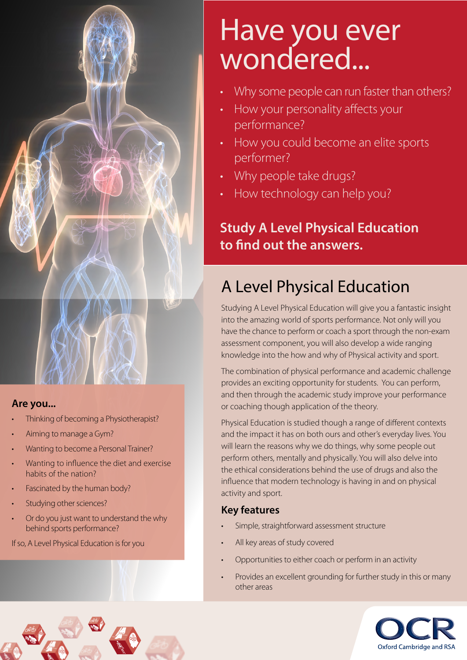

#### **Are you...**

- Thinking of becoming a Physiotherapist?
- Aiming to manage a Gym?
- Wanting to become a Personal Trainer?
- Wanting to influence the diet and exercise habits of the nation?
- Fascinated by the human body?
- Studving other sciences?

**Muscle Fibre Epimysium Perimysium**

• Or do you just want to understand the why behind sports performance?

**Perimysium**

If so, A Level Physical Education is for you

# Have you ever wondered...

- Why some people can run faster than others?
- How your personality affects your performance?
- How you could become an elite sports performer?
- Why people take drugs?
- How technology can help you?

# **Study A Level Physical Education to find out the answers.**

# A Level Physical Education

Studying A Level Physical Education will give you a fantastic insight into the amazing world of sports performance. Not only will you have the chance to perform or coach a sport through the non-exam assessment component, you will also develop a wide ranging knowledge into the how and why of Physical activity and sport.

The combination of physical performance and academic challenge provides an exciting opportunity for students. You can perform, and then through the academic study improve your performance or coaching though application of the theory.

Physical Education is studied though a range of different contexts and the impact it has on both ours and other's everyday lives. You will learn the reasons why we do things, why some people out perform others, mentally and physically. You will also delve into the ethical considerations behind the use of drugs and also the influence that modern technology is having in and on physical activity and sport.

# **Key features**

- Simple, straightforward assessment structure
- All key areas of study covered
- Opportunities to either coach or perform in an activity
- Provides an excellent grounding for further study in this or many other areas